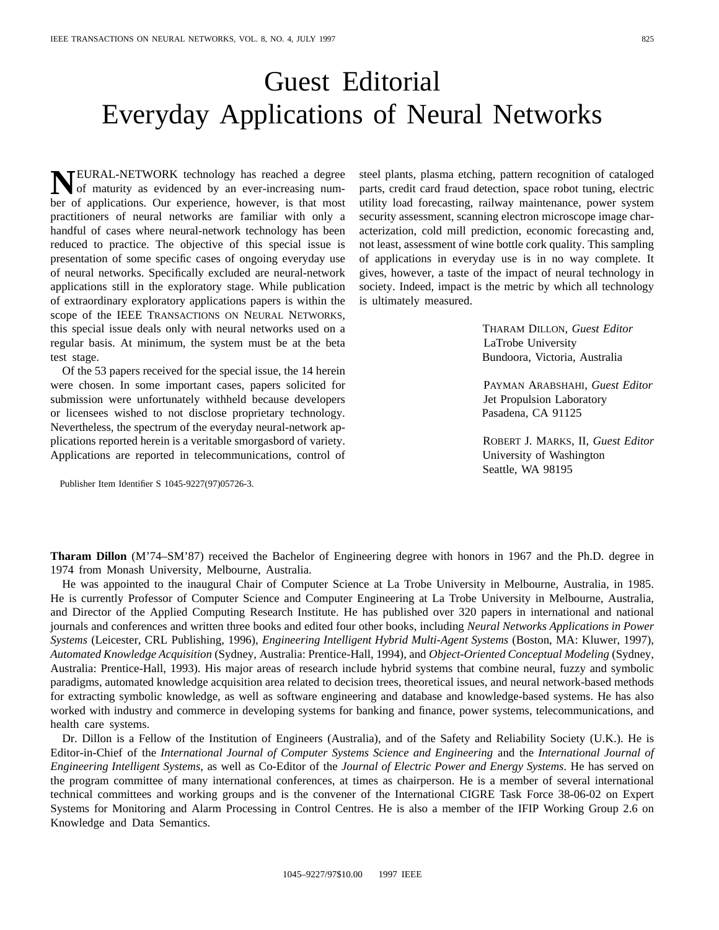## Guest Editorial Everyday Applications of Neural Networks

**NEURAL-NETWORK** technology has reached a degree<br>of maturity as evidenced by an ever-increasing num-<br>has a formulations. Our americans homogen is that most ber of applications. Our experience, however, is that most practitioners of neural networks are familiar with only a handful of cases where neural-network technology has been reduced to practice. The objective of this special issue is presentation of some specific cases of ongoing everyday use of neural networks. Specifically excluded are neural-network applications still in the exploratory stage. While publication of extraordinary exploratory applications papers is within the scope of the IEEE TRANSACTIONS ON NEURAL NETWORKS, this special issue deals only with neural networks used on a regular basis. At minimum, the system must be at the beta test stage.

Of the 53 papers received for the special issue, the 14 herein were chosen. In some important cases, papers solicited for submission were unfortunately withheld because developers or licensees wished to not disclose proprietary technology. Nevertheless, the spectrum of the everyday neural-network applications reported herein is a veritable smorgasbord of variety. Applications are reported in telecommunications, control of

Publisher Item Identifier S 1045-9227(97)05726-3.

steel plants, plasma etching, pattern recognition of cataloged parts, credit card fraud detection, space robot tuning, electric utility load forecasting, railway maintenance, power system security assessment, scanning electron microscope image characterization, cold mill prediction, economic forecasting and, not least, assessment of wine bottle cork quality. This sampling of applications in everyday use is in no way complete. It gives, however, a taste of the impact of neural technology in society. Indeed, impact is the metric by which all technology is ultimately measured.

> THARAM DILLON, *Guest Editor* LaTrobe University Bundoora, Victoria, Australia

PAYMAN ARABSHAHI, *Guest Editor* Jet Propulsion Laboratory Pasadena, CA 91125

ROBERT J. MARKS, II, *Guest Editor* University of Washington Seattle, WA 98195

**Tharam Dillon** (M'74–SM'87) received the Bachelor of Engineering degree with honors in 1967 and the Ph.D. degree in 1974 from Monash University, Melbourne, Australia.

He was appointed to the inaugural Chair of Computer Science at La Trobe University in Melbourne, Australia, in 1985. He is currently Professor of Computer Science and Computer Engineering at La Trobe University in Melbourne, Australia, and Director of the Applied Computing Research Institute. He has published over 320 papers in international and national journals and conferences and written three books and edited four other books, including *Neural Networks Applications in Power Systems* (Leicester, CRL Publishing, 1996), *Engineering Intelligent Hybrid Multi-Agent Systems* (Boston, MA: Kluwer, 1997), *Automated Knowledge Acquisition* (Sydney, Australia: Prentice-Hall, 1994), and *Object-Oriented Conceptual Modeling* (Sydney, Australia: Prentice-Hall, 1993). His major areas of research include hybrid systems that combine neural, fuzzy and symbolic paradigms, automated knowledge acquisition area related to decision trees, theoretical issues, and neural network-based methods for extracting symbolic knowledge, as well as software engineering and database and knowledge-based systems. He has also worked with industry and commerce in developing systems for banking and finance, power systems, telecommunications, and health care systems.

Dr. Dillon is a Fellow of the Institution of Engineers (Australia), and of the Safety and Reliability Society (U.K.). He is Editor-in-Chief of the *International Journal of Computer Systems Science and Engineering* and the *International Journal of Engineering Intelligent Systems*, as well as Co-Editor of the *Journal of Electric Power and Energy Systems*. He has served on the program committee of many international conferences, at times as chairperson. He is a member of several international technical committees and working groups and is the convener of the International CIGRE Task Force 38-06-02 on Expert Systems for Monitoring and Alarm Processing in Control Centres. He is also a member of the IFIP Working Group 2.6 on Knowledge and Data Semantics.